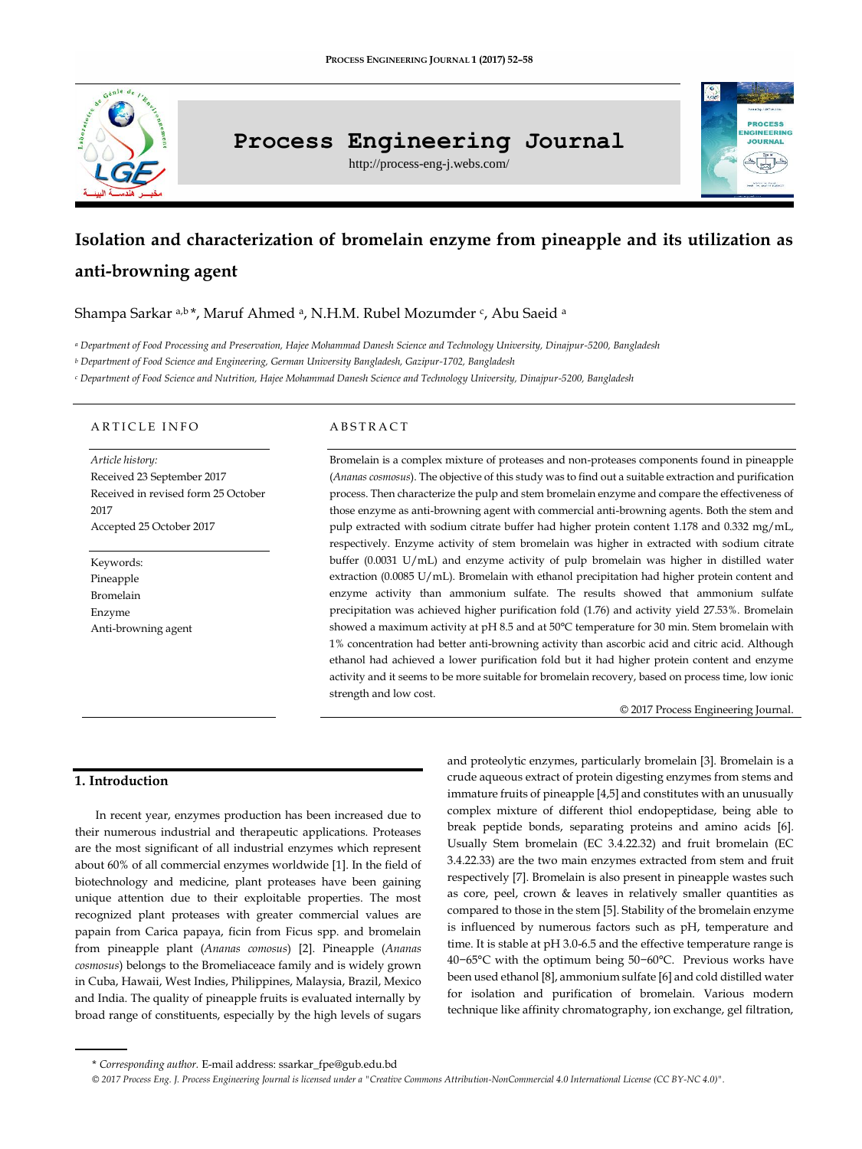

# **Process Engineering Journal**

http://process-eng-j.webs.com/

# **IGINEERING IOUPMAL**

# **Isolation and characterization of bromelain enzyme from pineapple and its utilization as anti-browning agent**

Shampa Sarkar <sup>a,b</sup>\*, Maruf Ahmed <sup>a</sup>, N.H.M. Rubel Mozumder <sup>c</sup>, Abu Saeid <sup>a</sup>

*<sup>a</sup> Department of Food Processing and Preservation, Hajee Mohammad Danesh Science and Technology University, Dinajpur-5200, Bangladesh*

*<sup>b</sup> Department of Food Science and Engineering, German University Bangladesh, Gazipur-1702, Bangladesh*

*<sup>c</sup> Department of Food Science and Nutrition, Hajee Mohammad Danesh Science and Technology University, Dinajpur-5200, Bangladesh*

## A R T I C L E IN FO

*Article history:* Received 23 September 2017 Received in revised form 25 October 2017 Accepted 25 October 2017

Keywords: Pineapple Bromelain Enzyme Anti-browning agent

# A B S T R A C T

Bromelain is a complex mixture of proteases and non-proteases components found in pineapple (*Ananas cosmosus*). The objective of this study was to find out a suitable extraction and purification process. Then characterize the pulp and stem bromelain enzyme and compare the effectiveness of those enzyme as anti-browning agent with commercial anti-browning agents. Both the stem and pulp extracted with sodium citrate buffer had higher protein content 1.178 and 0.332 mg/mL, respectively. Enzyme activity of stem bromelain was higher in extracted with sodium citrate buffer (0.0031 U/mL) and enzyme activity of pulp bromelain was higher in distilled water extraction (0.0085 U/mL). Bromelain with ethanol precipitation had higher protein content and enzyme activity than ammonium sulfate. The results showed that ammonium sulfate precipitation was achieved higher purification fold (1.76) and activity yield 27.53%. Bromelain showed a maximum activity at pH 8.5 and at 50°C temperature for 30 min. Stem bromelain with 1% concentration had better anti-browning activity than ascorbic acid and citric acid. Although ethanol had achieved a lower purification fold but it had higher protein content and enzyme activity and it seems to be more suitable for bromelain recovery, based on process time, low ionic strength and low cost.

© 2017 Process Engineering Journal.

# **1. Introduction**

In recent year, enzymes production has been increased due to their numerous industrial and therapeutic applications. Proteases are the most significant of all industrial enzymes which represent about 60% of all commercial enzymes worldwide [1]. In the field of biotechnology and medicine, plant proteases have been gaining unique attention due to their exploitable properties. The most recognized plant proteases with greater commercial values are papain from Carica papaya, ficin from Ficus spp. and bromelain from pineapple plant (*Ananas comosus*) [2]. Pineapple (*Ananas cosmosus*) belongs to the Bromeliaceace family and is widely grown in Cuba, Hawaii, West Indies, Philippines, Malaysia, Brazil, Mexico and India. The quality of pineapple fruits is evaluated internally by broad range of constituents, especially by the high levels of sugars

and proteolytic enzymes, particularly bromelain [3]. Bromelain is a crude aqueous extract of protein digesting enzymes from stems and immature fruits of pineapple [4,5] and constitutes with an unusually complex mixture of different thiol endopeptidase, being able to break peptide bonds, separating proteins and amino acids [6]. Usually Stem bromelain (EC 3.4.22.32) and fruit bromelain (EC 3.4.22.33) are the two main enzymes extracted from stem and fruit respectively [7]. Bromelain is also present in pineapple wastes such as core, peel, crown & leaves in relatively smaller quantities as compared to those in the stem [5]. Stability of the bromelain enzyme is influenced by numerous factors such as pH, temperature and time. It is stable at pH 3.0-6.5 and the effective temperature range is 40−65°C with the optimum being 50−60°C. Previous works have been used ethanol [8], ammonium sulfate [6] and cold distilled water for isolation and purification of bromelain. Various modern technique like affinity chromatography, ion exchange, gel filtration,

<sup>\*</sup> *Corresponding author.* E-mail address: ssarkar\_fpe@gub.edu.bd

*<sup>© 2017</sup> Process Eng. J. Process Engineering Journal is licensed under [a "Creative Commons Attribution-NonCommercial 4.0 International License \(CC BY-NC 4.0\)".](https://creativecommons.org/licenses/by-nc/4.0/)*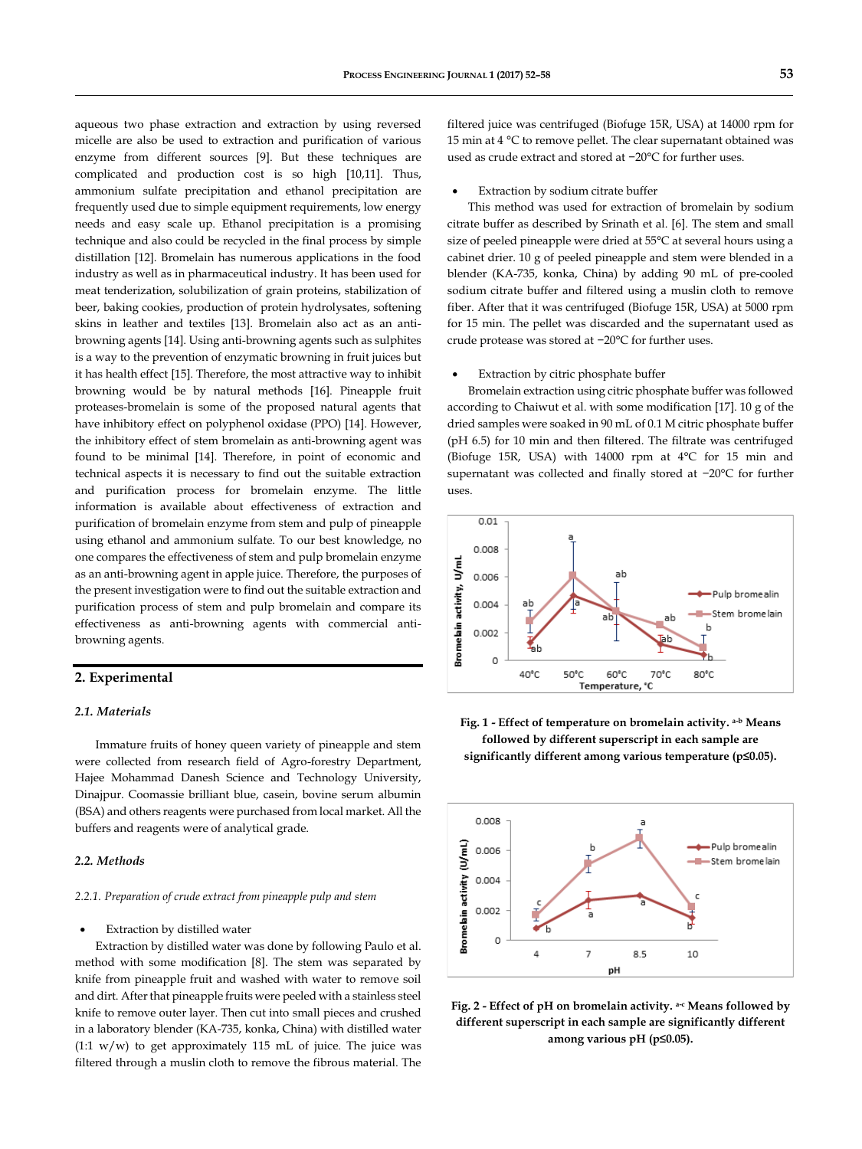aqueous two phase extraction and extraction by using reversed micelle are also be used to extraction and purification of various enzyme from different sources [9]. But these techniques are complicated and production cost is so high [10,11]. Thus, ammonium sulfate precipitation and ethanol precipitation are frequently used due to simple equipment requirements, low energy needs and easy scale up. Ethanol precipitation is a promising technique and also could be recycled in the final process by simple distillation [12]. Bromelain has numerous applications in the food industry as well as in pharmaceutical industry. It has been used for meat tenderization, solubilization of grain proteins, stabilization of beer, baking cookies, production of protein hydrolysates, softening skins in leather and textiles [13]. Bromelain also act as an antibrowning agents [14]. Using anti-browning agents such as sulphites is a way to the prevention of enzymatic browning in fruit juices but it has health effect [15]. Therefore, the most attractive way to inhibit browning would be by natural methods [16]. Pineapple fruit proteases-bromelain is some of the proposed natural agents that have inhibitory effect on polyphenol oxidase (PPO) [14]. However, the inhibitory effect of stem bromelain as anti-browning agent was found to be minimal [14]. Therefore, in point of economic and technical aspects it is necessary to find out the suitable extraction and purification process for bromelain enzyme. The little information is available about effectiveness of extraction and purification of bromelain enzyme from stem and pulp of pineapple using ethanol and ammonium sulfate. To our best knowledge, no one compares the effectiveness of stem and pulp bromelain enzyme as an anti-browning agent in apple juice. Therefore, the purposes of the present investigation were to find out the suitable extraction and purification process of stem and pulp bromelain and compare its

# effectiveness as anti-browning agents with commercial antibrowning agents.

# **2. Experimental**

#### *2.1. Materials*

Immature fruits of honey queen variety of pineapple and stem were collected from research field of Agro-forestry Department, Hajee Mohammad Danesh Science and Technology University, Dinajpur. Coomassie brilliant blue, casein, bovine serum albumin (BSA) and others reagents were purchased from local market. All the buffers and reagents were of analytical grade.

## *2.2. Methods*

#### *2.2.1. Preparation of crude extract from pineapple pulp and stem*

#### Extraction by distilled water

Extraction by distilled water was done by following Paulo et al. method with some modification [8]. The stem was separated by knife from pineapple fruit and washed with water to remove soil and dirt. After that pineapple fruits were peeled with a stainless steel knife to remove outer layer. Then cut into small pieces and crushed in a laboratory blender (KA-735, konka, China) with distilled water  $(1:1 \text{ w/w})$  to get approximately 115 mL of juice. The juice was filtered through a muslin cloth to remove the fibrous material. The filtered juice was centrifuged (Biofuge 15R, USA) at 14000 rpm for 15 min at 4 °C to remove pellet. The clear supernatant obtained was used as crude extract and stored at −20°C for further uses.

#### Extraction by sodium citrate buffer

This method was used for extraction of bromelain by sodium citrate buffer as described by Srinath et al. [6]. The stem and small size of peeled pineapple were dried at 55°C at several hours using a cabinet drier. 10 g of peeled pineapple and stem were blended in a blender (KA-735, konka, China) by adding 90 mL of pre-cooled sodium citrate buffer and filtered using a muslin cloth to remove fiber. After that it was centrifuged (Biofuge 15R, USA) at 5000 rpm for 15 min. The pellet was discarded and the supernatant used as crude protease was stored at −20°C for further uses.

#### Extraction by citric phosphate buffer

Bromelain extraction using citric phosphate buffer was followed according to Chaiwut et al. with some modification [17]. 10 g of the dried samples were soaked in 90 mL of 0.1 M citric phosphate buffer (pH 6.5) for 10 min and then filtered. The filtrate was centrifuged (Biofuge 15R, USA) with 14000 rpm at 4°C for 15 min and supernatant was collected and finally stored at −20°C for further uses.







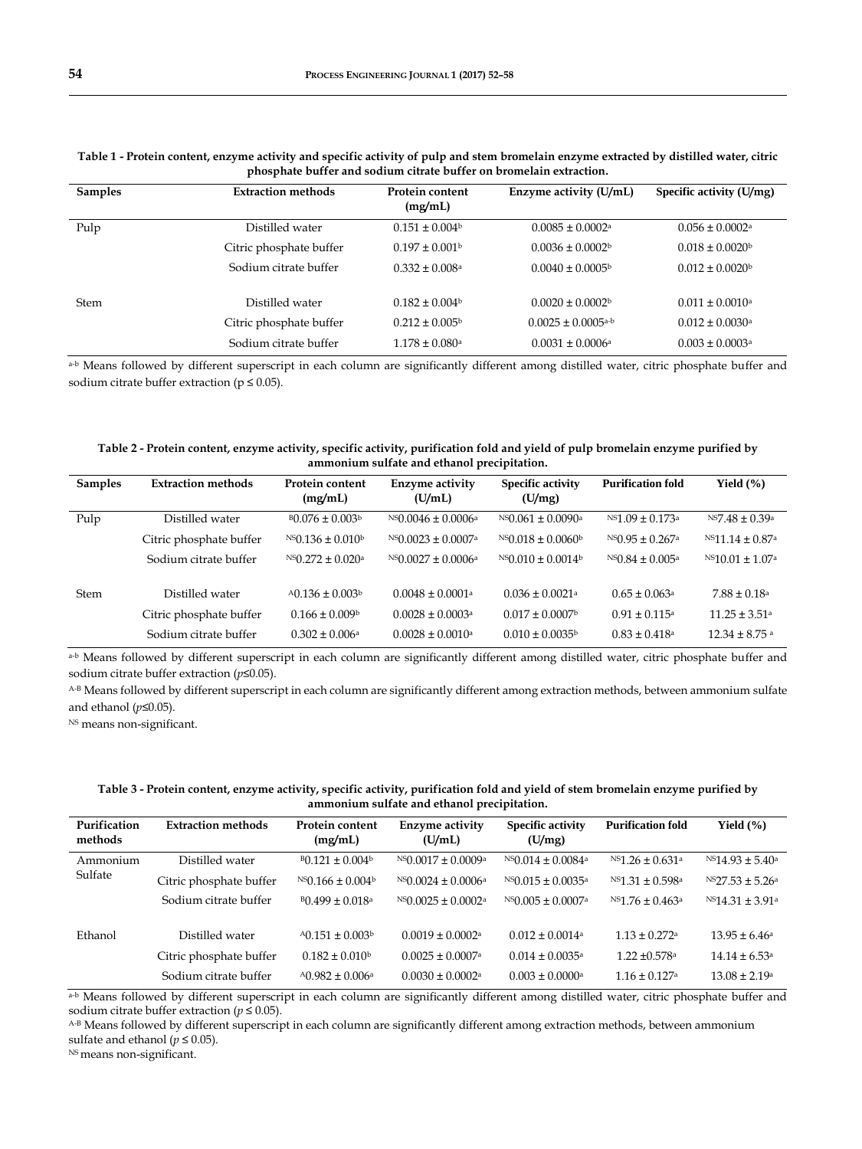| <b>Samples</b> | <b>Extraction methods</b> | Protein content<br>(mg/mL)     | Enzyme activity (U/mL)             | Specific activity (U/mg)        |
|----------------|---------------------------|--------------------------------|------------------------------------|---------------------------------|
|                |                           |                                |                                    |                                 |
| Pulp           | Distilled water           | $0.151 \pm 0.004$              | $0.0085 \pm 0.0002$ <sup>a</sup>   | $0.056 \pm 0.0002$ <sup>a</sup> |
|                | Citric phosphate buffer   | $0.197 \pm 0.001$ <sup>b</sup> | $0.0036 \pm 0.0002$ <sup>b</sup>   | $0.018 \pm 0.0020^{\circ}$      |
|                | Sodium citrate buffer     | $0.332 \pm 0.008$ <sup>a</sup> | $0.0040 \pm 0.0005$                | $0.012 \pm 0.0020$              |
| Stem           | Distilled water           | $0.182 \pm 0.004$ <sup>b</sup> | $0.0020 \pm 0.0002$ <sup>b</sup>   | $0.011 \pm 0.0010^a$            |
|                |                           |                                |                                    |                                 |
|                | Citric phosphate buffer   | $0.212 \pm 0.005^{\circ}$      | $0.0025 \pm 0.0005$ <sup>a-b</sup> | $0.012 \pm 0.0030$ <sup>a</sup> |
|                | Sodium citrate buffer     | $1.178 \pm 0.080$ a            | $0.0031 \pm 0.0006$ <sup>a</sup>   | $0.003 \pm 0.0003$ <sup>a</sup> |

**Table 1 - Protein content, enzyme activity and specific activity of pulp and stem bromelain enzyme extracted by distilled water, citric phosphate buffer and sodium citrate buffer on bromelain extraction.**

a-b Means followed by different superscript in each column are significantly different among distilled water, citric phosphate buffer and sodium citrate buffer extraction ( $p \le 0.05$ ).

## **Table 2 - Protein content, enzyme activity, specific activity, purification fold and yield of pulp bromelain enzyme purified by ammonium sulfate and ethanol precipitation.**

| <b>Samples</b> | <b>Extraction methods</b> | Protein content<br>(mg/mL)         | Enzyme activity<br>(U/mL)            | <b>Specific activity</b><br>(U/mg)  | <b>Purification fold</b>          | Yield $(\% )$                      |
|----------------|---------------------------|------------------------------------|--------------------------------------|-------------------------------------|-----------------------------------|------------------------------------|
| Pulp           | Distilled water           | $B0.076 \pm 0.003b$                | $^{NS}$ 0.0046 ± 0.0006 <sup>a</sup> | $^{NS}$ 0.061 ± 0.0090 <sup>a</sup> | $^{NS1}$ 09 ± 0.173 <sup>a</sup>  | $^{NS7.48 \pm 0.39a}$              |
|                | Citric phosphate buffer   | $^{NS}$ 0.136 ± 0.010 <sup>b</sup> | $^{NS}$ 0.0023 ± 0.0007 <sup>a</sup> | $^{NS}$ 0.018 ± 0.0060 <sup>b</sup> | $^{NS}$ 0.95 ± 0.267 <sup>a</sup> | $^{NS}11.14 \pm 0.87$ <sup>a</sup> |
|                | Sodium citrate buffer     | $NS(0.272 \pm 0.020a)$             | $NS0.0027 \pm 0.0006a$               | $NS0.010 \pm 0.0014$                | $NS0.84 \pm 0.005$ <sup>a</sup>   | $NS10.01 \pm 1.07$ <sup>a</sup>    |
| <b>Stem</b>    | Distilled water           | $A0.136 \pm 0.003$                 | $0.0048 + 0.0001a$                   | $0.036 \pm 0.0021$ <sup>a</sup>     | $0.65 + 0.063a$                   | $7.88 \pm 0.18$ <sup>a</sup>       |
|                | Citric phosphate buffer   | $0.166 \pm 0.009$                  | $0.0028 \pm 0.0003$ <sup>a</sup>     | $0.017 \pm 0.0007$                  | $0.91 + 0.115$ <sup>a</sup>       | $11.25 \pm 3.51$ <sup>a</sup>      |
|                | Sodium citrate buffer     | $0.302 \pm 0.006$ <sup>a</sup>     | $0.0028 \pm 0.0010$ <sup>a</sup>     | $0.010 \pm 0.0035^{\circ}$          | $0.83 \pm 0.418$ <sup>a</sup>     | $12.34 \pm 8.75$ <sup>a</sup>      |

a-b Means followed by different superscript in each column are significantly different among distilled water, citric phosphate buffer and sodium citrate buffer extraction (*p*≤0.05).

A-B Means followed by different superscript in each column are significantly different among extraction methods, between ammonium sulfate and ethanol (*p*≤0.05).

<sup>NS</sup> means non-significant.

# **Table 3 - Protein content, enzyme activity, specific activity, purification fold and yield of stem bromelain enzyme purified by ammonium sulfate and ethanol precipitation.**

| Purification<br>methods | <b>Extraction methods</b> | Protein content<br>(mg/mL)      | Enzyme activity<br>(U/mL)            | <b>Specific activity</b><br>(U/mg)  | <b>Purification fold</b>          | Yield $(\% )$                 |
|-------------------------|---------------------------|---------------------------------|--------------------------------------|-------------------------------------|-----------------------------------|-------------------------------|
| Ammonium<br>Sulfate     | Distilled water           | $B(0.121 \pm 0.004^b)$          | $^{NS}$ 0.0017 ± 0.0009 <sup>a</sup> | $^{NS}$ 0.014 ± 0.0084 <sup>a</sup> | $^{NS1}$ .26 ± 0.631 <sup>a</sup> | $^{NS}14.93 \pm 5.40^{\circ}$ |
|                         | Citric phosphate buffer   | $NS0.166 \pm 0.004$             | $NS0.0024 \pm 0.0006a$               | $NS0.015 \pm 0.0035$ <sup>a</sup>   | $NS1.31 \pm 0.598a$               | $NS27.53 \pm 5.26^a$          |
|                         | Sodium citrate buffer     | $B(0.499 \pm 0.018^a)$          | $^{NS}$ 0.0025 ± 0.0002 <sup>a</sup> | $^{NS}$ 0.005 ± 0.0007 <sup>a</sup> | $^{NS1.76 \pm 0.463a}$            | $NS14.31 \pm 3.91^{\circ}$    |
| Ethanol                 | Distilled water           | $A0.151 \pm 0.003$              | $0.0019 \pm 0.0002$ <sup>a</sup>     | $0.012 \pm 0.0014$ <sup>a</sup>     | $1.13 \pm 0.272$ <sup>a</sup>     | $13.95 \pm 6.46^{\circ}$      |
|                         | Citric phosphate buffer   | $0.182 \pm 0.010$ <sup>b</sup>  | $0.0025 \pm 0.0007$ <sup>a</sup>     | $0.014 \pm 0.0035$ <sup>a</sup>     | $1.22 \pm 0.578$ <sup>a</sup>     | $14.14 \pm 6.53$ <sup>a</sup> |
|                         | Sodium citrate buffer     | $A0.982 \pm 0.006$ <sup>a</sup> | $0.0030 \pm 0.0002$ <sup>a</sup>     | $0.003 \pm 0.0000$ <sup>a</sup>     | $1.16 \pm 0.127$ <sup>a</sup>     | $13.08 \pm 2.19$ <sup>a</sup> |

a-b Means followed by different superscript in each column are significantly different among distilled water, citric phosphate buffer and sodium citrate buffer extraction ( $p \le 0.05$ ).

A-B Means followed by different superscript in each column are significantly different among extraction methods, between ammonium sulfate and ethanol ( $p \le 0.05$ ).

NS means non-significant.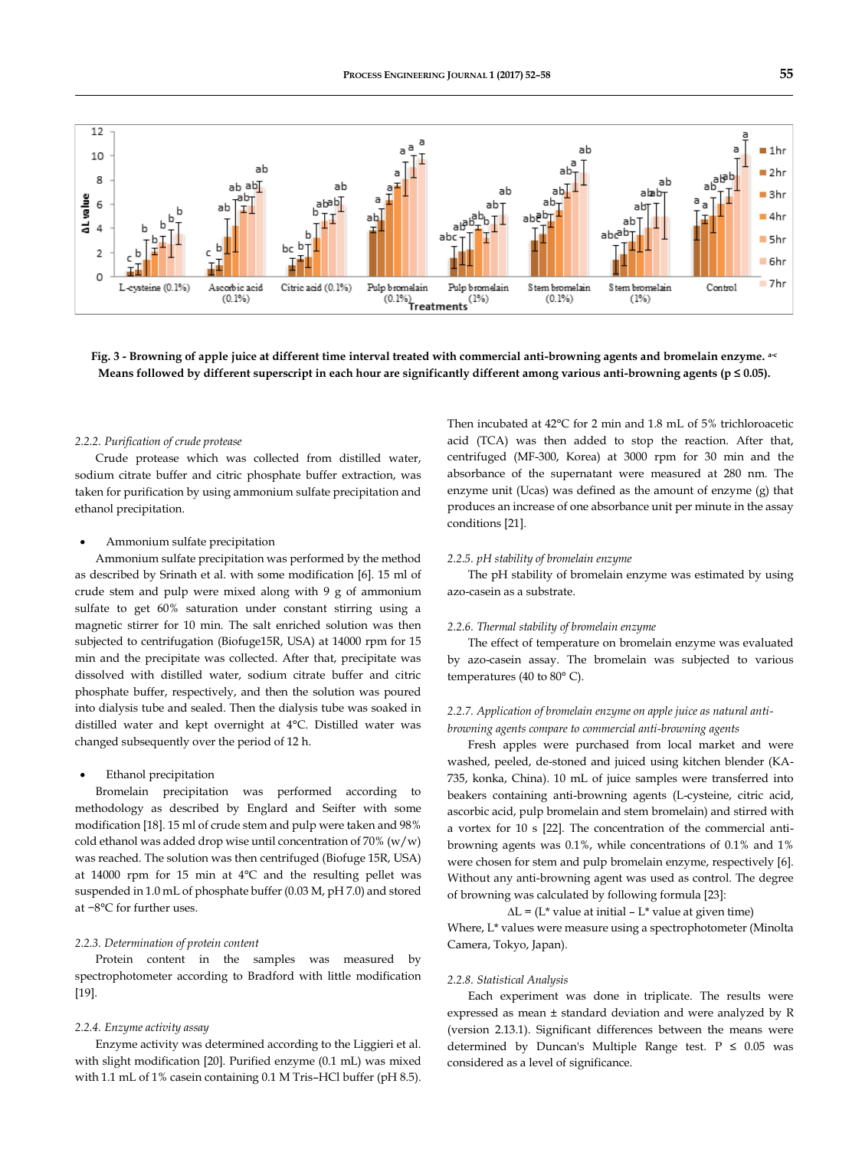

**Fig. 3 - Browning of apple juice at different time interval treated with commercial anti-browning agents and bromelain enzyme. a-c Means followed by different superscript in each hour are significantly different among various anti-browning agents (p ≤ 0.05).**

# *2.2.2. Purification of crude protease*

Crude protease which was collected from distilled water, sodium citrate buffer and citric phosphate buffer extraction, was taken for purification by using ammonium sulfate precipitation and ethanol precipitation.

#### Ammonium sulfate precipitation

Ammonium sulfate precipitation was performed by the method as described by Srinath et al. with some modification [6]. 15 ml of crude stem and pulp were mixed along with 9 g of ammonium sulfate to get 60% saturation under constant stirring using a magnetic stirrer for 10 min. The salt enriched solution was then subjected to centrifugation (Biofuge15R, USA) at 14000 rpm for 15 min and the precipitate was collected. After that, precipitate was dissolved with distilled water, sodium citrate buffer and citric phosphate buffer, respectively, and then the solution was poured into dialysis tube and sealed. Then the dialysis tube was soaked in distilled water and kept overnight at 4°C. Distilled water was changed subsequently over the period of 12 h.

#### Ethanol precipitation

Bromelain precipitation was performed according to methodology as described by Englard and Seifter with some modification [18]. 15 ml of crude stem and pulp were taken and 98% cold ethanol was added drop wise until concentration of 70%  $(w/w)$ was reached. The solution was then centrifuged (Biofuge 15R, USA) at 14000 rpm for 15 min at 4°C and the resulting pellet was suspended in 1.0 mL of phosphate buffer (0.03 M, pH 7.0) and stored at −8°C for further uses.

## *2.2.3. Determination of protein content*

Protein content in the samples was measured by spectrophotometer according to Bradford with little modification [19].

#### *2.2.4. Enzyme activity assay*

Enzyme activity was determined according to the Liggieri et al. with slight modification [20]. Purified enzyme (0.1 mL) was mixed with 1.1 mL of 1% casein containing 0.1 M Tris–HCl buffer (pH 8.5). Then incubated at 42°C for 2 min and 1.8 mL of 5% trichloroacetic acid (TCA) was then added to stop the reaction. After that, centrifuged (MF-300, Korea) at 3000 rpm for 30 min and the absorbance of the supernatant were measured at 280 nm. The enzyme unit (Ucas) was defined as the amount of enzyme (g) that produces an increase of one absorbance unit per minute in the assay conditions [21].

#### *2.2.5. pH stability of bromelain enzyme*

The pH stability of bromelain enzyme was estimated by using azo-casein as a substrate.

#### *2.2.6. Thermal stability of bromelain enzyme*

The effect of temperature on bromelain enzyme was evaluated by azo-casein assay. The bromelain was subjected to various temperatures (40 to 80° C).

# *2.2.7. Application of bromelain enzyme on apple juice as natural antibrowning agents compare to commercial anti-browning agents*

Fresh apples were purchased from local market and were washed, peeled, de-stoned and juiced using kitchen blender (KA-735, konka, China). 10 mL of juice samples were transferred into beakers containing anti-browning agents (L-cysteine, citric acid, ascorbic acid, pulp bromelain and stem bromelain) and stirred with a vortex for 10 s [22]. The concentration of the commercial antibrowning agents was 0.1%, while concentrations of 0.1% and 1% were chosen for stem and pulp bromelain enzyme, respectively [6]. Without any anti-browning agent was used as control. The degree of browning was calculated by following formula [23]:

 $\Delta L = (L^*$  value at initial –  $L^*$  value at given time)

Where, L\* values were measure using a spectrophotometer (Minolta Camera, Tokyo, Japan).

#### *2.2.8. Statistical Analysis*

Each experiment was done in triplicate. The results were expressed as mean ± standard deviation and were analyzed by R (version 2.13.1). Significant differences between the means were determined by Duncan's Multiple Range test.  $P \le 0.05$  was considered as a level of significance.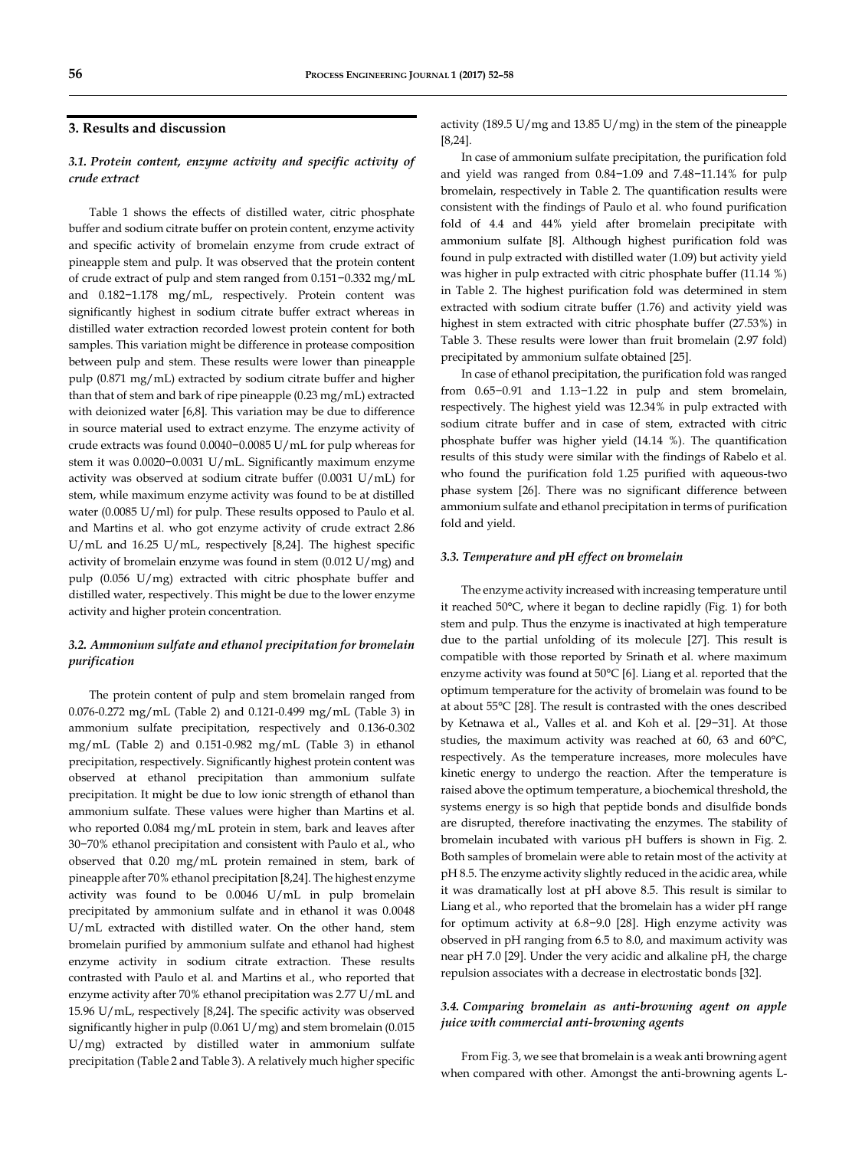# **3. Results and discussion**

# *3.1. Protein content, enzyme activity and specific activity of crude extract*

Table 1 shows the effects of distilled water, citric phosphate buffer and sodium citrate buffer on protein content, enzyme activity and specific activity of bromelain enzyme from crude extract of pineapple stem and pulp. It was observed that the protein content of crude extract of pulp and stem ranged from 0.151−0.332 mg/mL and 0.182−1.178 mg/mL, respectively. Protein content was significantly highest in sodium citrate buffer extract whereas in distilled water extraction recorded lowest protein content for both samples. This variation might be difference in protease composition between pulp and stem. These results were lower than pineapple pulp (0.871 mg/mL) extracted by sodium citrate buffer and higher than that of stem and bark of ripe pineapple (0.23 mg/mL) extracted with deionized water [6,8]. This variation may be due to difference in source material used to extract enzyme. The enzyme activity of crude extracts was found 0.0040−0.0085 U/mL for pulp whereas for stem it was 0.0020−0.0031 U/mL. Significantly maximum enzyme activity was observed at sodium citrate buffer (0.0031 U/mL) for stem, while maximum enzyme activity was found to be at distilled water (0.0085 U/ml) for pulp. These results opposed to Paulo et al. and Martins et al. who got enzyme activity of crude extract 2.86 U/mL and 16.25 U/mL, respectively [8,24]. The highest specific activity of bromelain enzyme was found in stem (0.012 U/mg) and pulp (0.056 U/mg) extracted with citric phosphate buffer and distilled water, respectively. This might be due to the lower enzyme activity and higher protein concentration.

# *3.2. Ammonium sulfate and ethanol precipitation for bromelain purification*

The protein content of pulp and stem bromelain ranged from 0.076-0.272 mg/mL (Table 2) and 0.121-0.499 mg/mL (Table 3) in ammonium sulfate precipitation, respectively and 0.136-0.302 mg/mL (Table 2) and 0.151-0.982 mg/mL (Table 3) in ethanol precipitation, respectively. Significantly highest protein content was observed at ethanol precipitation than ammonium sulfate precipitation. It might be due to low ionic strength of ethanol than ammonium sulfate. These values were higher than Martins et al. who reported 0.084 mg/mL protein in stem, bark and leaves after 30−70% ethanol precipitation and consistent with Paulo et al., who observed that 0.20 mg/mL protein remained in stem, bark of pineapple after 70% ethanol precipitation [8,24]. The highest enzyme activity was found to be 0.0046 U/mL in pulp bromelain precipitated by ammonium sulfate and in ethanol it was 0.0048 U/mL extracted with distilled water. On the other hand, stem bromelain purified by ammonium sulfate and ethanol had highest enzyme activity in sodium citrate extraction. These results contrasted with Paulo et al. and Martins et al., who reported that enzyme activity after 70% ethanol precipitation was 2.77 U/mL and 15.96 U/mL, respectively [8,24]. The specific activity was observed significantly higher in pulp (0.061 U/mg) and stem bromelain (0.015 U/mg) extracted by distilled water in ammonium sulfate precipitation (Table 2 and Table 3). A relatively much higher specific

activity (189.5 U/mg and 13.85 U/mg) in the stem of the pineapple [8,24].

In case of ammonium sulfate precipitation, the purification fold and yield was ranged from 0.84−1.09 and 7.48−11.14% for pulp bromelain, respectively in Table 2. The quantification results were consistent with the findings of Paulo et al. who found purification fold of 4.4 and 44% yield after bromelain precipitate with ammonium sulfate [8]. Although highest purification fold was found in pulp extracted with distilled water (1.09) but activity yield was higher in pulp extracted with citric phosphate buffer (11.14 %) in Table 2. The highest purification fold was determined in stem extracted with sodium citrate buffer (1.76) and activity yield was highest in stem extracted with citric phosphate buffer (27.53%) in Table 3. These results were lower than fruit bromelain (2.97 fold) precipitated by ammonium sulfate obtained [25].

In case of ethanol precipitation, the purification fold was ranged from 0.65−0.91 and 1.13−1.22 in pulp and stem bromelain, respectively. The highest yield was 12.34% in pulp extracted with sodium citrate buffer and in case of stem, extracted with citric phosphate buffer was higher yield (14.14 %). The quantification results of this study were similar with the findings of Rabelo et al. who found the purification fold 1.25 purified with aqueous-two phase system [26]. There was no significant difference between ammonium sulfate and ethanol precipitation in terms of purification fold and yield.

#### *3.3. Temperature and pH effect on bromelain*

The enzyme activity increased with increasing temperature until it reached 50°C, where it began to decline rapidly (Fig. 1) for both stem and pulp. Thus the enzyme is inactivated at high temperature due to the partial unfolding of its molecule [27]. This result is compatible with those reported by Srinath et al. where maximum enzyme activity was found at 50°C [6]. Liang et al. reported that the optimum temperature for the activity of bromelain was found to be at about 55°C [28]. The result is contrasted with the ones described by Ketnawa et al., Valles et al. and Koh et al. [29−31]. At those studies, the maximum activity was reached at 60, 63 and 60°C, respectively. As the temperature increases, more molecules have kinetic energy to undergo the reaction. After the temperature is raised above the optimum temperature, a biochemical threshold, the systems energy is so high that peptide bonds and disulfide bonds are disrupted, therefore inactivating the enzymes. The stability of bromelain incubated with various pH buffers is shown in Fig. 2. Both samples of bromelain were able to retain most of the activity at pH 8.5. The enzyme activity slightly reduced in the acidic area, while it was dramatically lost at pH above 8.5. This result is similar to Liang et al., who reported that the bromelain has a wider pH range for optimum activity at 6.8−9.0 [28]. High enzyme activity was observed in pH ranging from 6.5 to 8.0, and maximum activity was near pH 7.0 [29]. Under the very acidic and alkaline pH, the charge repulsion associates with a decrease in electrostatic bonds [32].

# *3.4. Comparing bromelain as anti-browning agent on apple juice with commercial anti-browning agents*

From Fig. 3, we see that bromelain is a weak anti browning agent when compared with other. Amongst the anti-browning agents L-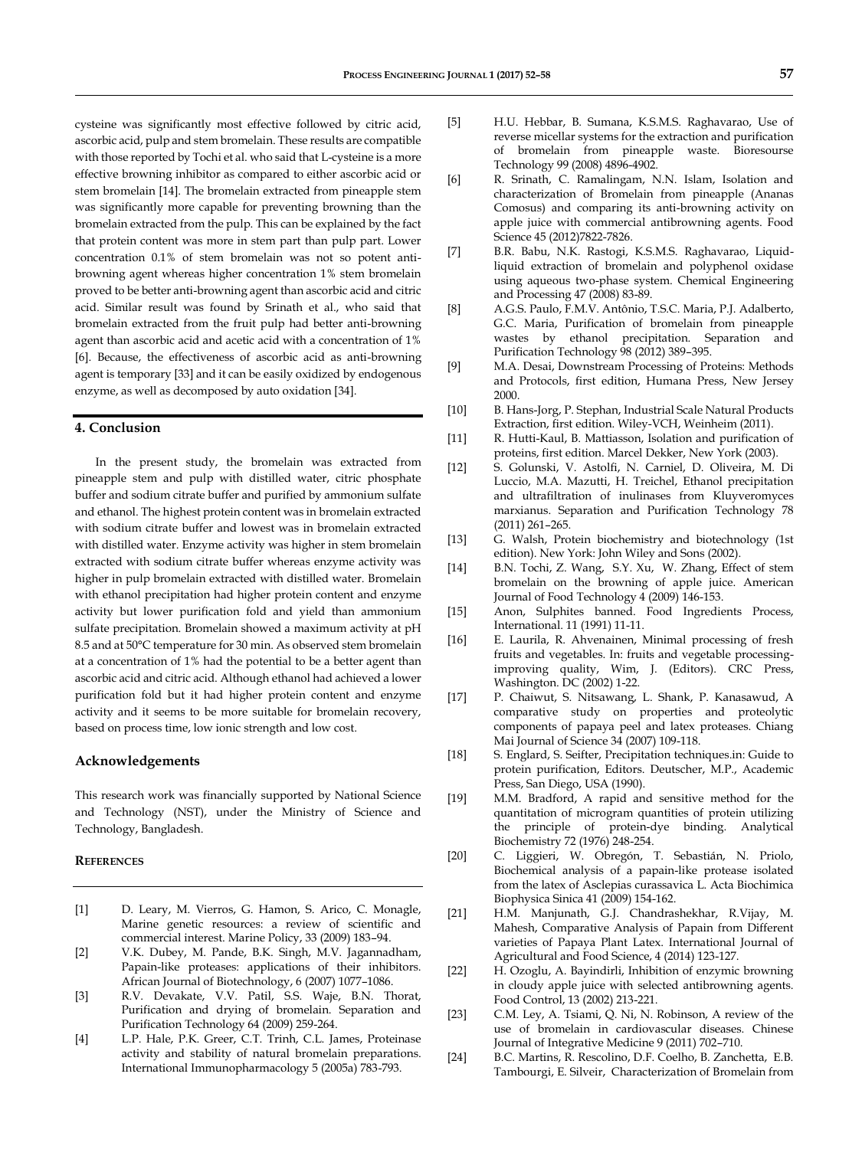cysteine was significantly most effective followed by citric acid, ascorbic acid, pulp and stem bromelain. These results are compatible with those reported by Tochi et al. who said that L-cysteine is a more effective browning inhibitor as compared to either ascorbic acid or stem bromelain [14]. The bromelain extracted from pineapple stem was significantly more capable for preventing browning than the bromelain extracted from the pulp. This can be explained by the fact that protein content was more in stem part than pulp part. Lower concentration 0.1% of stem bromelain was not so potent antibrowning agent whereas higher concentration 1% stem bromelain proved to be better anti-browning agent than ascorbic acid and citric acid. Similar result was found by Srinath et al., who said that bromelain extracted from the fruit pulp had better anti-browning agent than ascorbic acid and acetic acid with a concentration of 1% [6]. Because, the effectiveness of ascorbic acid as anti-browning agent is temporary [33] and it can be easily oxidized by endogenous enzyme, as well as decomposed by auto oxidation [34].

#### **4. Conclusion**

In the present study, the bromelain was extracted from pineapple stem and pulp with distilled water, citric phosphate buffer and sodium citrate buffer and purified by ammonium sulfate and ethanol. The highest protein content was in bromelain extracted with sodium citrate buffer and lowest was in bromelain extracted with distilled water. Enzyme activity was higher in stem bromelain extracted with sodium citrate buffer whereas enzyme activity was higher in pulp bromelain extracted with distilled water. Bromelain with ethanol precipitation had higher protein content and enzyme activity but lower purification fold and yield than ammonium sulfate precipitation. Bromelain showed a maximum activity at pH 8.5 and at 50°C temperature for 30 min. As observed stem bromelain at a concentration of 1% had the potential to be a better agent than ascorbic acid and citric acid. Although ethanol had achieved a lower purification fold but it had higher protein content and enzyme activity and it seems to be more suitable for bromelain recovery, based on process time, low ionic strength and low cost.

#### **Acknowledgements**

This research work was financially supported by National Science and Technology (NST), under the Ministry of Science and Technology, Bangladesh.

# **REFERENCES**

- [1] D. Leary, M. Vierros, G. Hamon, S. Arico, C. Monagle, Marine genetic resources: a review of scientific and commercial interest. Marine Policy, 33 (2009) 183–94.
- [2] V.K. Dubey, M. Pande, B.K. Singh, M.V. Jagannadham, Papain-like proteases: applications of their inhibitors. African Journal of Biotechnology, 6 (2007) 1077–1086.
- [3] R.V. Devakate, V.V. Patil, S.S. Waje, B.N. Thorat, Purification and drying of bromelain. Separation and Purification Technology 64 (2009) 259-264.
- [4] L.P. Hale, P.K. Greer, C.T. Trinh, C.L. James, Proteinase activity and stability of natural bromelain preparations. International Immunopharmacology 5 (2005a) 783-793.
- [5] H.U. Hebbar, B. Sumana, K.S.M.S. Raghavarao, Use of reverse micellar systems for the extraction and purification of bromelain from pineapple waste. Bioresourse Technology 99 (2008) 4896-4902.
- [6] R. Srinath, C. Ramalingam, N.N. Islam, Isolation and characterization of Bromelain from pineapple (Ananas Comosus) and comparing its anti-browning activity on apple juice with commercial antibrowning agents. Food Science 45 (2012)7822-7826.
- [7] B.R. Babu, N.K. Rastogi, K.S.M.S. Raghavarao, Liquidliquid extraction of bromelain and polyphenol oxidase using aqueous two-phase system. Chemical Engineering and Processing 47 (2008) 83-89.
- [8] A.G.S. Paulo, F.M.V. Antônio, T.S.C. Maria, P.J. Adalberto, G.C. Maria, Purification of bromelain from pineapple wastes by ethanol precipitation. Separation and Purification Technology 98 (2012) 389–395.
- [9] M.A. Desai, Downstream Processing of Proteins: Methods and Protocols, first edition, Humana Press, New Jersey 2000.
- [10] B. Hans-Jorg, P. Stephan, Industrial Scale Natural Products Extraction, first edition. Wiley-VCH, Weinheim (2011).
- [11] R. Hutti-Kaul, B. Mattiasson, Isolation and purification of proteins, first edition. Marcel Dekker, New York (2003).
- [12] S. Golunski, V. Astolfi, N. Carniel, D. Oliveira, M. Di Luccio, M.A. Mazutti, H. Treichel, Ethanol precipitation and ultrafiltration of inulinases from Kluyveromyces marxianus. Separation and Purification Technology 78 (2011) 261–265.
- [13] G. Walsh, Protein biochemistry and biotechnology (1st edition). New York: John Wiley and Sons (2002).
- [14] B.N. Tochi, Z. Wang, S.Y. Xu, W. Zhang, Effect of stem bromelain on the browning of apple juice. American Journal of Food Technology 4 (2009) 146-153.
- [15] Anon, Sulphites banned. Food Ingredients Process, International. 11 (1991) 11-11.
- [16] E. Laurila, R. Ahvenainen, Minimal processing of fresh fruits and vegetables. In: fruits and vegetable processingimproving quality, Wim, J. (Editors). CRC Press, Washington. DC (2002) 1-22.
- [17] P. Chaiwut, S. Nitsawang, L. Shank, P. Kanasawud, A comparative study on properties and proteolytic components of papaya peel and latex proteases. Chiang Mai Journal of Science 34 (2007) 109-118.
- [18] S. Englard, S. Seifter, Precipitation techniques.in: Guide to protein purification, Editors. Deutscher, M.P., Academic Press, San Diego, USA (1990).
- [19] M.M. Bradford, A rapid and sensitive method for the quantitation of microgram quantities of protein utilizing the principle of protein-dye binding. Analytical Biochemistry 72 (1976) 248-254.
- [20] C. Liggieri, W. Obregón, T. Sebastián, N. Priolo, Biochemical analysis of a papain-like protease isolated from the latex of Asclepias curassavica L. Acta Biochimica Biophysica Sinica 41 (2009) 154-162.
- [21] H.M. Manjunath, G.J. Chandrashekhar, R.Vijay, M. Mahesh, Comparative Analysis of Papain from Different varieties of Papaya Plant Latex. International Journal of Agricultural and Food Science, 4 (2014) 123-127.
- [22] H. Ozoglu, A. Bayindirli, Inhibition of enzymic browning in cloudy apple juice with selected antibrowning agents. Food Control, 13 (2002) 213-221.
- [23] C.M. Ley, A. Tsiami, Q. Ni, N. Robinson, A review of the use of bromelain in cardiovascular diseases. Chinese Journal of Integrative Medicine 9 (2011) 702–710.
- [24] B.C. Martins, R. Rescolino, D.F. Coelho, B. Zanchetta, E.B. Tambourgi, E. Silveir, Characterization of Bromelain from